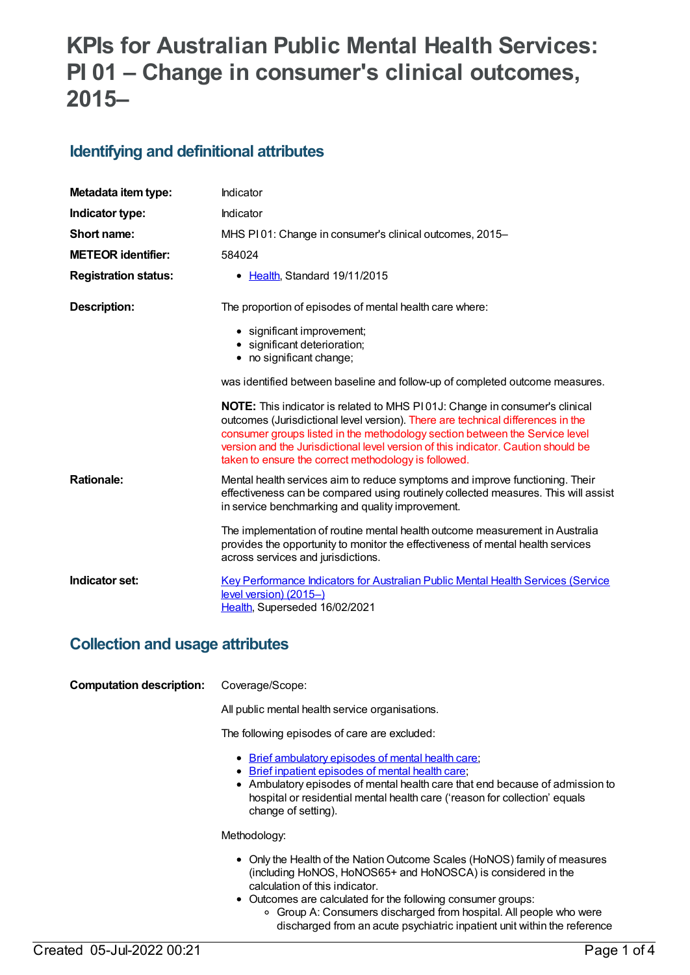# **KPIs for Australian Public Mental Health Services: PI 01 – Change in consumer's clinical outcomes, 2015–**

## **Identifying and definitional attributes**

| Metadata item type:         | Indicator                                                                                                                                                                                                                                                                                                                                                                                         |
|-----------------------------|---------------------------------------------------------------------------------------------------------------------------------------------------------------------------------------------------------------------------------------------------------------------------------------------------------------------------------------------------------------------------------------------------|
| Indicator type:             | Indicator                                                                                                                                                                                                                                                                                                                                                                                         |
| Short name:                 | MHS PI01: Change in consumer's clinical outcomes, 2015-                                                                                                                                                                                                                                                                                                                                           |
| <b>METEOR identifier:</b>   | 584024                                                                                                                                                                                                                                                                                                                                                                                            |
| <b>Registration status:</b> | • Health, Standard 19/11/2015                                                                                                                                                                                                                                                                                                                                                                     |
| <b>Description:</b>         | The proportion of episodes of mental health care where:                                                                                                                                                                                                                                                                                                                                           |
|                             | • significant improvement;<br>· significant deterioration;<br>• no significant change;                                                                                                                                                                                                                                                                                                            |
|                             | was identified between baseline and follow-up of completed outcome measures.                                                                                                                                                                                                                                                                                                                      |
|                             | <b>NOTE:</b> This indicator is related to MHS P101J: Change in consumer's clinical<br>outcomes (Jurisdictional level version). There are technical differences in the<br>consumer groups listed in the methodology section between the Service level<br>version and the Jurisdictional level version of this indicator. Caution should be<br>taken to ensure the correct methodology is followed. |
| <b>Rationale:</b>           | Mental health services aim to reduce symptoms and improve functioning. Their<br>effectiveness can be compared using routinely collected measures. This will assist<br>in service benchmarking and quality improvement.                                                                                                                                                                            |
|                             | The implementation of routine mental health outcome measurement in Australia<br>provides the opportunity to monitor the effectiveness of mental health services<br>across services and jurisdictions.                                                                                                                                                                                             |
| Indicator set:              | <b>Key Performance Indicators for Australian Public Mental Health Services (Service</b><br>$level version) (2015-)$<br>Health, Superseded 16/02/2021                                                                                                                                                                                                                                              |

### **Collection and usage attributes**

### **Computation description:** Coverage/Scope:

All public mental health service organisations.

The following episodes of care are excluded:

- Brief [ambulatory](file:///content/605545) episodes of mental health care;
- Brief inpatient [episodes](file:///content/605550) of mental health care;
- Ambulatory episodes of mental health care that end because of admission to hospital or residential mental health care ('reason for collection' equals change of setting).

#### Methodology:

- Only the Health of the Nation Outcome Scales (HoNOS) family of measures (including HoNOS, HoNOS65+ and HoNOSCA) is considered in the calculation of this indicator.
- Outcomes are calculated for the following consumer groups:
	- Group A: Consumers discharged from hospital. All people who were discharged from an acute psychiatric inpatient unit within the reference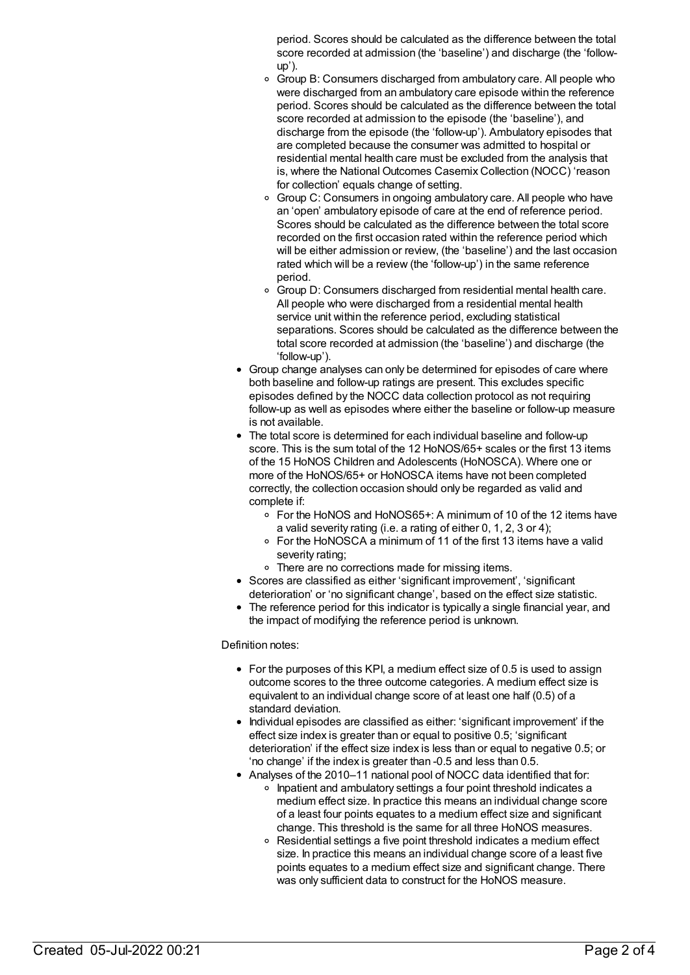period. Scores should be calculated as the difference between the total score recorded at admission (the 'baseline') and discharge (the 'followup').

- <sup>o</sup> Group B: Consumers discharged from ambulatory care. All people who were discharged from an ambulatory care episode within the reference period. Scores should be calculated as the difference between the total score recorded at admission to the episode (the 'baseline'), and discharge from the episode (the 'follow-up'). Ambulatory episodes that are completed because the consumer was admitted to hospital or residential mental health care must be excluded from the analysis that is, where the National Outcomes Casemix Collection (NOCC) 'reason for collection' equals change of setting.
- Group C: Consumers in ongoing ambulatory care. All people who have an 'open' ambulatory episode of care at the end of reference period. Scores should be calculated as the difference between the total score recorded on the first occasion rated within the reference period which will be either admission or review, (the 'baseline') and the last occasion rated which will be a review (the 'follow-up') in the same reference period.
- Group D: Consumers discharged from residential mental health care. All people who were discharged from a residential mental health service unit within the reference period, excluding statistical separations. Scores should be calculated as the difference between the total score recorded at admission (the 'baseline') and discharge (the 'follow-up').
- Group change analyses can only be determined for episodes of care where both baseline and follow-up ratings are present. This excludes specific episodes defined by the NOCC data collection protocol as not requiring follow-up as well as episodes where either the baseline or follow-up measure is not available.
- The total score is determined for each individual baseline and follow-up score. This is the sum total of the 12 HoNOS/65+ scales or the first 13 items of the 15 HoNOS Children and Adolescents (HoNOSCA). Where one or more of the HoNOS/65+ or HoNOSCA items have not been completed correctly, the collection occasion should only be regarded as valid and complete if:
	- For the HoNOS and HoNOS65+: A minimum of 10 of the 12 items have a valid severity rating (i.e. a rating of either 0, 1, 2, 3 or 4);
	- For the HoNOSCA a minimum of 11 of the first 13 items have a valid severity rating;
	- o There are no corrections made for missing items.
- Scores are classified as either 'significant improvement', 'significant deterioration' or 'no significant change', based on the effect size statistic.
- The reference period for this indicator is typically a single financial year, and the impact of modifying the reference period is unknown.

### Definition notes:

- $\bullet$  For the purposes of this KPI, a medium effect size of 0.5 is used to assign outcome scores to the three outcome categories. A medium effect size is equivalent to an individual change score of at least one half (0.5) of a standard deviation.
- Individual episodes are classified as either: 'significant improvement' if the effect size index is greater than or equal to positive 0.5; 'significant deterioration' if the effect size index is less than or equal to negative 0.5; or 'no change' if the index is greater than -0.5 and less than 0.5.
- Analyses of the 2010–11 national pool of NOCC data identified that for:
	- o Inpatient and ambulatory settings a four point threshold indicates a medium effect size. In practice this means an individual change score of a least four points equates to a medium effect size and significant change. This threshold is the same for all three HoNOS measures.
		- Residential settings a five point threshold indicates a medium effect size. In practice this means an individual change score of a least five points equates to a medium effect size and significant change. There was only sufficient data to construct for the HoNOS measure.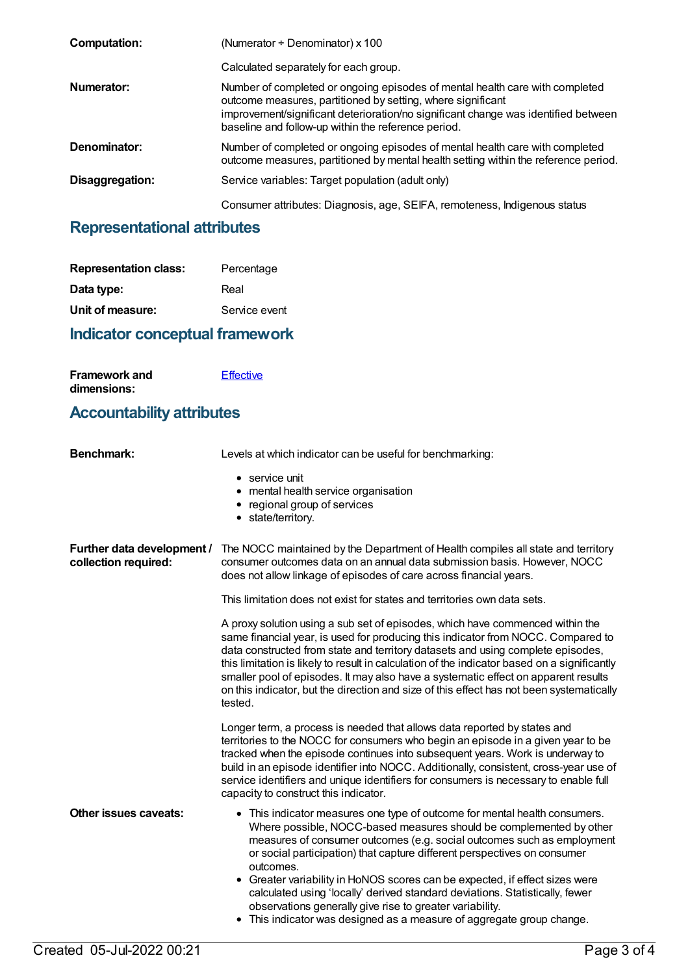| Computation:    | (Numerator $\div$ Denominator) x 100                                                                                                                                                                                                                                                     |
|-----------------|------------------------------------------------------------------------------------------------------------------------------------------------------------------------------------------------------------------------------------------------------------------------------------------|
|                 | Calculated separately for each group.                                                                                                                                                                                                                                                    |
| Numerator:      | Number of completed or ongoing episodes of mental health care with completed<br>outcome measures, partitioned by setting, where significant<br>improvement/significant deterioration/no significant change was identified between<br>baseline and follow-up within the reference period. |
| Denominator:    | Number of completed or ongoing episodes of mental health care with completed<br>outcome measures, partitioned by mental health setting within the reference period.                                                                                                                      |
| Disaggregation: | Service variables: Target population (adult only)                                                                                                                                                                                                                                        |
|                 | Consumer attributes: Diagnosis, age, SEIFA, remoteness, Indigenous status                                                                                                                                                                                                                |

# **Representational attributes**

| <b>Representation class:</b> | Percentage    |
|------------------------------|---------------|
| Data type:                   | Real          |
| Unit of measure:             | Service event |

# **Indicator conceptual framework**

| <b>Framework and</b> | Effective |
|----------------------|-----------|
| dimensions:          |           |

## **Accountability attributes**

| <b>Benchmark:</b>                                  | Levels at which indicator can be useful for benchmarking:                                                                                                                                                                                                                                                                                                                                                                                                                                                                                                                                                                |
|----------------------------------------------------|--------------------------------------------------------------------------------------------------------------------------------------------------------------------------------------------------------------------------------------------------------------------------------------------------------------------------------------------------------------------------------------------------------------------------------------------------------------------------------------------------------------------------------------------------------------------------------------------------------------------------|
|                                                    | $\bullet$ service unit<br>• mental health service organisation<br>• regional group of services<br>• state/territory.                                                                                                                                                                                                                                                                                                                                                                                                                                                                                                     |
| Further data development /<br>collection required: | The NOCC maintained by the Department of Health compiles all state and territory<br>consumer outcomes data on an annual data submission basis. However, NOCC<br>does not allow linkage of episodes of care across financial years.                                                                                                                                                                                                                                                                                                                                                                                       |
|                                                    | This limitation does not exist for states and territories own data sets.                                                                                                                                                                                                                                                                                                                                                                                                                                                                                                                                                 |
|                                                    | A proxy solution using a sub set of episodes, which have commenced within the<br>same financial year, is used for producing this indicator from NOCC. Compared to<br>data constructed from state and territory datasets and using complete episodes,<br>this limitation is likely to result in calculation of the indicator based on a significantly<br>smaller pool of episodes. It may also have a systematic effect on apparent results<br>on this indicator, but the direction and size of this effect has not been systematically<br>tested.                                                                        |
|                                                    | Longer term, a process is needed that allows data reported by states and<br>territories to the NOCC for consumers who begin an episode in a given year to be<br>tracked when the episode continues into subsequent years. Work is underway to<br>build in an episode identifier into NOCC. Additionally, consistent, cross-year use of<br>service identifiers and unique identifiers for consumers is necessary to enable full<br>capacity to construct this indicator.                                                                                                                                                  |
| <b>Other issues caveats:</b>                       | • This indicator measures one type of outcome for mental health consumers.<br>Where possible, NOCC-based measures should be complemented by other<br>measures of consumer outcomes (e.g. social outcomes such as employment<br>or social participation) that capture different perspectives on consumer<br>outcomes.<br>• Greater variability in HoNOS scores can be expected, if effect sizes were<br>calculated using 'locally' derived standard deviations. Statistically, fewer<br>observations generally give rise to greater variability.<br>• This indicator was designed as a measure of aggregate group change. |